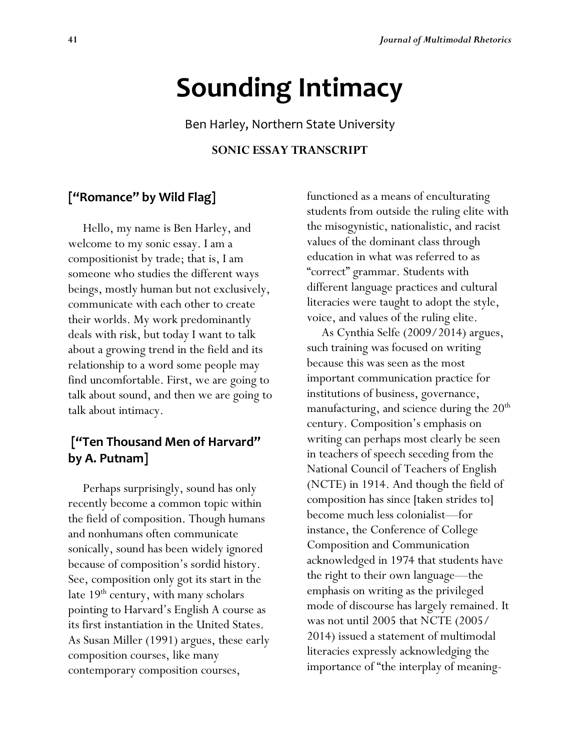# **Sounding Intimacy**

Ben Harley, Northern State University

#### **SONIC ESSAY TRANSCRIPT**

# **["Romance" by Wild Flag]**

 Hello, my name is Ben Harley, and welcome to my sonic essay. I am a compositionist by trade; that is, I am someone who studies the different ways beings, mostly human but not exclusively, communicate with each other to create their worlds. My work predominantly deals with risk, but today I want to talk about a growing trend in the field and its relationship to a word some people may find uncomfortable. First, we are going to talk about sound, and then we are going to talk about intimacy.

# **["Ten Thousand Men of Harvard" by A. Putnam]**

 Perhaps surprisingly, sound has only recently become a common topic within the field of composition. Though humans and nonhumans often communicate sonically, sound has been widely ignored because of composition's sordid history. See, composition only got its start in the late  $19<sup>th</sup>$  century, with many scholars pointing to Harvard's English A course as its first instantiation in the United States. As Susan Miller (1991) argues, these early composition courses, like many contemporary composition courses,

functioned as a means of enculturating students from outside the ruling elite with the misogynistic, nationalistic, and racist values of the dominant class through education in what was referred to as "correct" grammar. Students with different language practices and cultural literacies were taught to adopt the style, voice, and values of the ruling elite.

 As Cynthia Selfe (2009/2014) argues, such training was focused on writing because this was seen as the most important communication practice for institutions of business, governance, manufacturing, and science during the  $20<sup>th</sup>$ century. Composition's emphasis on writing can perhaps most clearly be seen in teachers of speech seceding from the National Council of Teachers of English (NCTE) in 1914. And though the field of composition has since [taken strides to] become much less colonialist—for instance, the Conference of College Composition and Communication acknowledged in 1974 that students have the right to their own language—the emphasis on writing as the privileged mode of discourse has largely remained. It was not until 2005 that NCTE (2005/ 2014) issued a statement of multimodal literacies expressly acknowledging the importance of "the interplay of meaning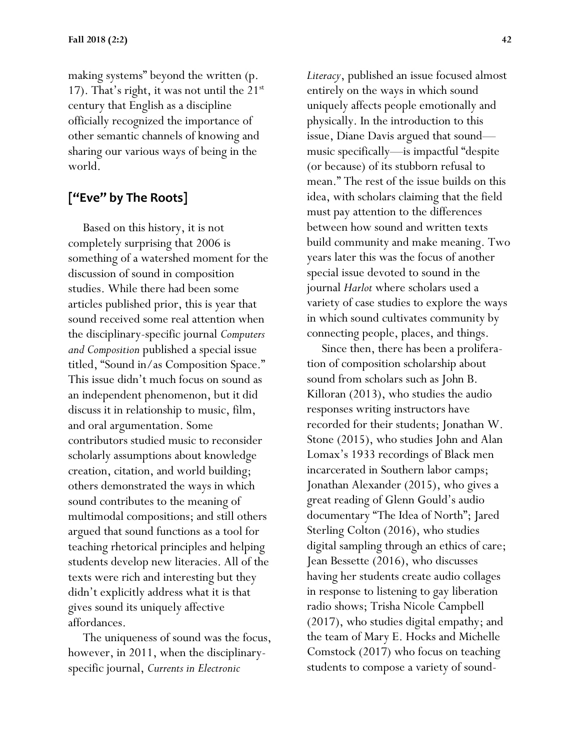making systems" beyond the written (p. 17). That's right, it was not until the  $21^{st}$ century that English as a discipline officially recognized the importance of other semantic channels of knowing and sharing our various ways of being in the world.

# **["Eve" by The Roots]**

 Based on this history, it is not completely surprising that 2006 is something of a watershed moment for the discussion of sound in composition studies. While there had been some articles published prior, this is year that sound received some real attention when the disciplinary-specific journal *Computers and Composition* published a special issue titled, "Sound in/as Composition Space." This issue didn't much focus on sound as an independent phenomenon, but it did discuss it in relationship to music, film, and oral argumentation. Some contributors studied music to reconsider scholarly assumptions about knowledge creation, citation, and world building; others demonstrated the ways in which sound contributes to the meaning of multimodal compositions; and still others argued that sound functions as a tool for teaching rhetorical principles and helping students develop new literacies. All of the texts were rich and interesting but they didn't explicitly address what it is that gives sound its uniquely affective affordances.

 The uniqueness of sound was the focus, however, in 2011, when the disciplinaryspecific journal, *Currents in Electronic* 

*Literacy*, published an issue focused almost entirely on the ways in which sound uniquely affects people emotionally and physically. In the introduction to this issue, Diane Davis argued that sound music specifically—is impactful "despite (or because) of its stubborn refusal to mean." The rest of the issue builds on this idea, with scholars claiming that the field must pay attention to the differences between how sound and written texts build community and make meaning. Two years later this was the focus of another special issue devoted to sound in the journal *Harlot* where scholars used a variety of case studies to explore the ways in which sound cultivates community by connecting people, places, and things.

 Since then, there has been a proliferation of composition scholarship about sound from scholars such as John B. Killoran (2013), who studies the audio responses writing instructors have recorded for their students; Jonathan W. Stone (2015), who studies John and Alan Lomax's 1933 recordings of Black men incarcerated in Southern labor camps; Jonathan Alexander (2015), who gives a great reading of Glenn Gould's audio documentary "The Idea of North"; Jared Sterling Colton (2016), who studies digital sampling through an ethics of care; Jean Bessette (2016), who discusses having her students create audio collages in response to listening to gay liberation radio shows; Trisha Nicole Campbell (2017), who studies digital empathy; and the team of Mary E. Hocks and Michelle Comstock (2017) who focus on teaching students to compose a variety of sound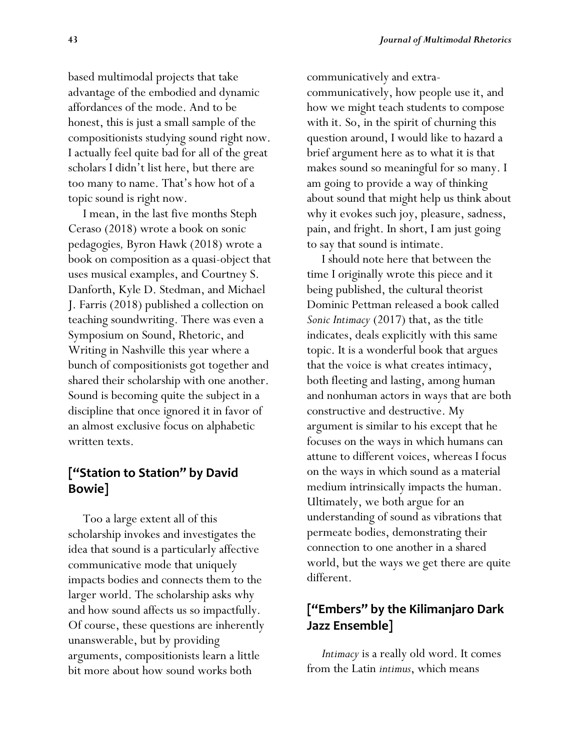based multimodal projects that take advantage of the embodied and dynamic affordances of the mode. And to be honest, this is just a small sample of the compositionists studying sound right now. I actually feel quite bad for all of the great scholars I didn't list here, but there are too many to name. That's how hot of a topic sound is right now.

 I mean, in the last five months Steph Ceraso (2018) wrote a book on sonic pedagogies*,* Byron Hawk (2018) wrote a book on composition as a quasi-object that uses musical examples, and Courtney S. Danforth, Kyle D. Stedman, and Michael J. Farris (2018) published a collection on teaching soundwriting. There was even a Symposium on Sound, Rhetoric, and Writing in Nashville this year where a bunch of compositionists got together and shared their scholarship with one another. Sound is becoming quite the subject in a discipline that once ignored it in favor of an almost exclusive focus on alphabetic written texts.

# **["Station to Station" by David Bowie]**

 Too a large extent all of this scholarship invokes and investigates the idea that sound is a particularly affective communicative mode that uniquely impacts bodies and connects them to the larger world. The scholarship asks why and how sound affects us so impactfully. Of course, these questions are inherently unanswerable, but by providing arguments, compositionists learn a little bit more about how sound works both

communicatively and extracommunicatively, how people use it, and how we might teach students to compose with it. So, in the spirit of churning this question around, I would like to hazard a brief argument here as to what it is that makes sound so meaningful for so many. I am going to provide a way of thinking about sound that might help us think about why it evokes such joy, pleasure, sadness, pain, and fright. In short, I am just going to say that sound is intimate.

 I should note here that between the time I originally wrote this piece and it being published, the cultural theorist Dominic Pettman released a book called *Sonic Intimacy* (2017) that, as the title indicates, deals explicitly with this same topic. It is a wonderful book that argues that the voice is what creates intimacy, both fleeting and lasting, among human and nonhuman actors in ways that are both constructive and destructive. My argument is similar to his except that he focuses on the ways in which humans can attune to different voices, whereas I focus on the ways in which sound as a material medium intrinsically impacts the human. Ultimately, we both argue for an understanding of sound as vibrations that permeate bodies, demonstrating their connection to one another in a shared world, but the ways we get there are quite different.

# **["Embers" by the Kilimanjaro Dark Jazz Ensemble]**

 *Intimacy* is a really old word. It comes from the Latin *intimus*, which means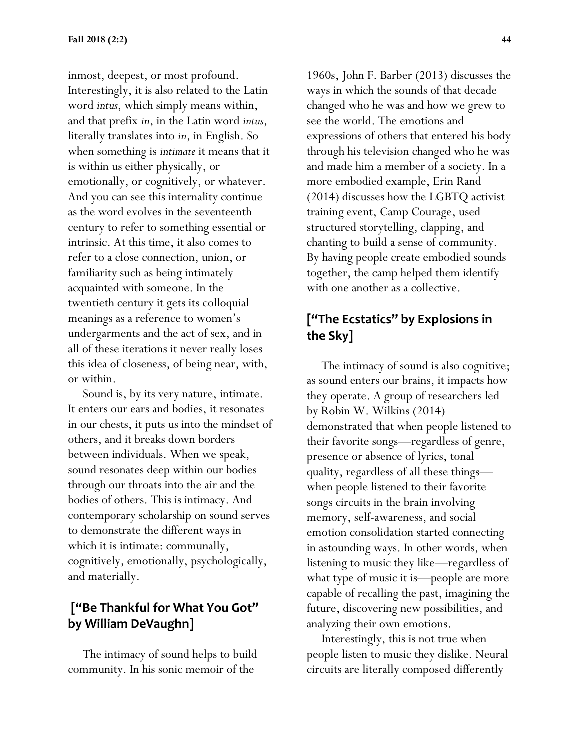inmost, deepest, or most profound. Interestingly, it is also related to the Latin word *intus*, which simply means within, and that prefix *in*, in the Latin word *intus*, literally translates into *in*, in English. So when something is *intimate* it means that it is within us either physically, or emotionally, or cognitively, or whatever. And you can see this internality continue as the word evolves in the seventeenth century to refer to something essential or intrinsic. At this time, it also comes to refer to a close connection, union, or familiarity such as being intimately acquainted with someone. In the twentieth century it gets its colloquial meanings as a reference to women's undergarments and the act of sex, and in all of these iterations it never really loses this idea of closeness, of being near, with, or within.

 Sound is, by its very nature, intimate. It enters our ears and bodies, it resonates in our chests, it puts us into the mindset of others, and it breaks down borders between individuals. When we speak, sound resonates deep within our bodies through our throats into the air and the bodies of others. This is intimacy. And contemporary scholarship on sound serves to demonstrate the different ways in which it is intimate: communally, cognitively, emotionally, psychologically, and materially.

# **["Be Thankful for What You Got" by William DeVaughn]**

 The intimacy of sound helps to build community. In his sonic memoir of the

1960s, John F. Barber (2013) discusses the ways in which the sounds of that decade changed who he was and how we grew to see the world. The emotions and expressions of others that entered his body through his television changed who he was and made him a member of a society. In a more embodied example, Erin Rand (2014) discusses how the LGBTQ activist training event, Camp Courage, used structured storytelling, clapping, and chanting to build a sense of community. By having people create embodied sounds together, the camp helped them identify with one another as a collective.

# **["The Ecstatics" by Explosions in the Sky]**

 The intimacy of sound is also cognitive; as sound enters our brains, it impacts how they operate. A group of researchers led by Robin W. Wilkins (2014) demonstrated that when people listened to their favorite songs—regardless of genre, presence or absence of lyrics, tonal quality, regardless of all these things when people listened to their favorite songs circuits in the brain involving memory, self-awareness, and social emotion consolidation started connecting in astounding ways. In other words, when listening to music they like—regardless of what type of music it is—people are more capable of recalling the past, imagining the future, discovering new possibilities, and analyzing their own emotions.

 Interestingly, this is not true when people listen to music they dislike. Neural circuits are literally composed differently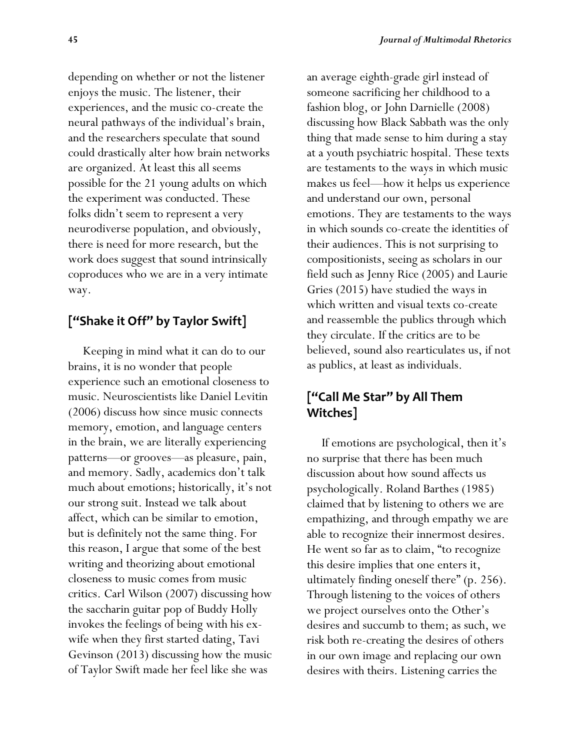depending on whether or not the listener enjoys the music. The listener, their experiences, and the music co-create the neural pathways of the individual's brain, and the researchers speculate that sound could drastically alter how brain networks are organized. At least this all seems possible for the 21 young adults on which the experiment was conducted. These folks didn't seem to represent a very neurodiverse population, and obviously, there is need for more research, but the work does suggest that sound intrinsically coproduces who we are in a very intimate way.

#### **["Shake it Off" by Taylor Swift]**

 Keeping in mind what it can do to our brains, it is no wonder that people experience such an emotional closeness to music. Neuroscientists like Daniel Levitin (2006) discuss how since music connects memory, emotion, and language centers in the brain, we are literally experiencing patterns—or grooves—as pleasure, pain, and memory. Sadly, academics don't talk much about emotions; historically, it's not our strong suit. Instead we talk about affect, which can be similar to emotion, but is definitely not the same thing. For this reason, I argue that some of the best writing and theorizing about emotional closeness to music comes from music critics. Carl Wilson (2007) discussing how the saccharin guitar pop of Buddy Holly invokes the feelings of being with his exwife when they first started dating, Tavi Gevinson (2013) discussing how the music of Taylor Swift made her feel like she was

an average eighth-grade girl instead of someone sacrificing her childhood to a fashion blog, or John Darnielle (2008) discussing how Black Sabbath was the only thing that made sense to him during a stay at a youth psychiatric hospital. These texts are testaments to the ways in which music makes us feel—how it helps us experience and understand our own, personal emotions. They are testaments to the ways in which sounds co-create the identities of their audiences. This is not surprising to compositionists, seeing as scholars in our field such as Jenny Rice (2005) and Laurie Gries (2015) have studied the ways in which written and visual texts co-create and reassemble the publics through which they circulate. If the critics are to be believed, sound also rearticulates us, if not as publics, at least as individuals.

# **["Call Me Star" by All Them Witches]**

 If emotions are psychological, then it's no surprise that there has been much discussion about how sound affects us psychologically. Roland Barthes (1985) claimed that by listening to others we are empathizing, and through empathy we are able to recognize their innermost desires. He went so far as to claim, "to recognize this desire implies that one enters it, ultimately finding oneself there" (p. 256). Through listening to the voices of others we project ourselves onto the Other's desires and succumb to them; as such, we risk both re-creating the desires of others in our own image and replacing our own desires with theirs. Listening carries the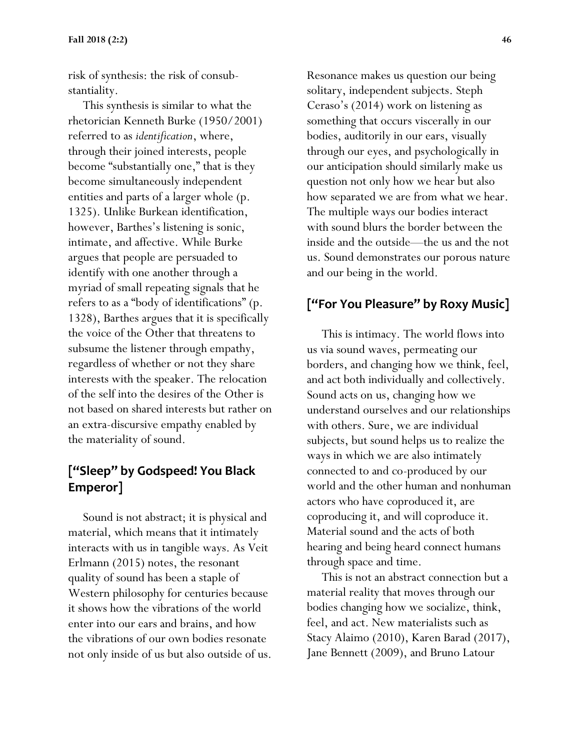risk of synthesis: the risk of consubstantiality.

 This synthesis is similar to what the rhetorician Kenneth Burke (1950/2001) referred to as *identification*, where, through their joined interests, people become "substantially one," that is they become simultaneously independent entities and parts of a larger whole (p. 1325). Unlike Burkean identification, however, Barthes's listening is sonic, intimate, and affective. While Burke argues that people are persuaded to identify with one another through a myriad of small repeating signals that he refers to as a "body of identifications" (p. 1328), Barthes argues that it is specifically the voice of the Other that threatens to subsume the listener through empathy, regardless of whether or not they share interests with the speaker. The relocation of the self into the desires of the Other is not based on shared interests but rather on an extra-discursive empathy enabled by the materiality of sound.

# **["Sleep" by Godspeed! You Black Emperor]**

 Sound is not abstract; it is physical and material, which means that it intimately interacts with us in tangible ways. As Veit Erlmann (2015) notes, the resonant quality of sound has been a staple of Western philosophy for centuries because it shows how the vibrations of the world enter into our ears and brains, and how the vibrations of our own bodies resonate not only inside of us but also outside of us. Resonance makes us question our being solitary, independent subjects. Steph Ceraso's (2014) work on listening as something that occurs viscerally in our bodies, auditorily in our ears, visually through our eyes, and psychologically in our anticipation should similarly make us question not only how we hear but also how separated we are from what we hear. The multiple ways our bodies interact with sound blurs the border between the inside and the outside—the us and the not us. Sound demonstrates our porous nature and our being in the world.

# **["For You Pleasure" by Roxy Music]**

 This is intimacy. The world flows into us via sound waves, permeating our borders, and changing how we think, feel, and act both individually and collectively. Sound acts on us, changing how we understand ourselves and our relationships with others. Sure, we are individual subjects, but sound helps us to realize the ways in which we are also intimately connected to and co-produced by our world and the other human and nonhuman actors who have coproduced it, are coproducing it, and will coproduce it. Material sound and the acts of both hearing and being heard connect humans through space and time.

 This is not an abstract connection but a material reality that moves through our bodies changing how we socialize, think, feel, and act. New materialists such as Stacy Alaimo (2010), Karen Barad (2017), Jane Bennett (2009), and Bruno Latour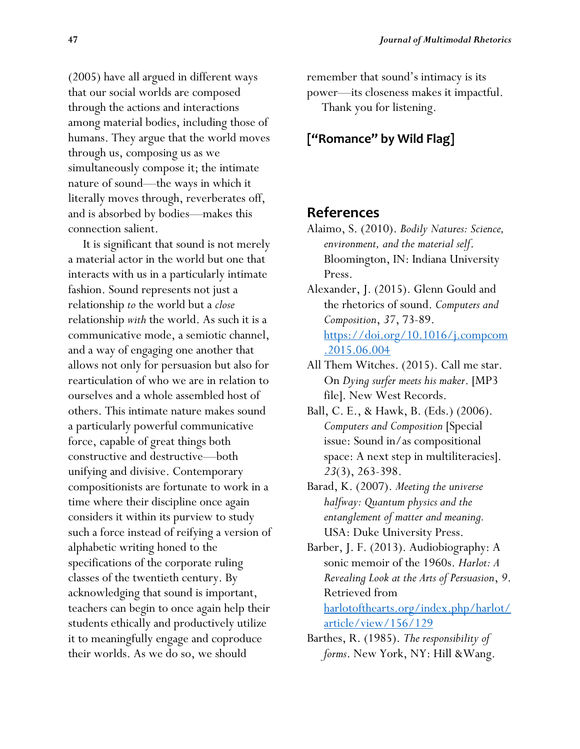(2005) have all argued in different ways that our social worlds are composed through the actions and interactions among material bodies, including those of humans. They argue that the world moves through us, composing us as we simultaneously compose it; the intimate nature of sound—the ways in which it literally moves through, reverberates off, and is absorbed by bodies—makes this connection salient.

 It is significant that sound is not merely a material actor in the world but one that interacts with us in a particularly intimate fashion. Sound represents not just a relationship *to* the world but a *close*  relationship *with* the world. As such it is a communicative mode, a semiotic channel, and a way of engaging one another that allows not only for persuasion but also for rearticulation of who we are in relation to ourselves and a whole assembled host of others. This intimate nature makes sound a particularly powerful communicative force, capable of great things both constructive and destructive—both unifying and divisive. Contemporary compositionists are fortunate to work in a time where their discipline once again considers it within its purview to study such a force instead of reifying a version of alphabetic writing honed to the specifications of the corporate ruling classes of the twentieth century. By acknowledging that sound is important, teachers can begin to once again help their students ethically and productively utilize it to meaningfully engage and coproduce their worlds. As we do so, we should

remember that sound's intimacy is its power—its closeness makes it impactful. Thank you for listening.

#### **["Romance" by Wild Flag]**

#### **References**

- Alaimo, S. (2010). *Bodily Natures: Science, environment, and the material self*. Bloomington, IN: Indiana University Press.
- Alexander, J. (2015). Glenn Gould and the rhetorics of sound. *Computers and Composition*, *37*, 73-89. [https://doi.org/10.1016/j.compcom](https://doi.org/10.1016/j.compcom.2015.06.004) [.2015.06.004](https://doi.org/10.1016/j.compcom.2015.06.004)
- All Them Witches. (2015). Call me star. On *Dying surfer meets his maker*. [MP3 file]. New West Records.
- Ball, C. E., & Hawk, B. (Eds.) (2006). *Computers and Composition* [Special issue: Sound in/as compositional space: A next step in multiliteracies. *23*(3), 263-398.
- Barad, K. (2007). *Meeting the universe halfway: Quantum physics and the entanglement of matter and meaning.*  USA: Duke University Press.
- Barber, J. F. (2013). Audiobiography: A sonic memoir of the 1960s. *Harlot: A Revealing Look at the Arts of Persuasion*, *9*. Retrieved from

[harlotofthearts.org/index.php/harlot/](file:///G:/USC/Student/ENG%20890%20Sound/Podcast/harlotofthearts.org/index.php/harlot/article/view/156/129) [article/view/156/129](file:///G:/USC/Student/ENG%20890%20Sound/Podcast/harlotofthearts.org/index.php/harlot/article/view/156/129)

Barthes, R. (1985). *The responsibility of forms*. New York, NY: Hill &Wang.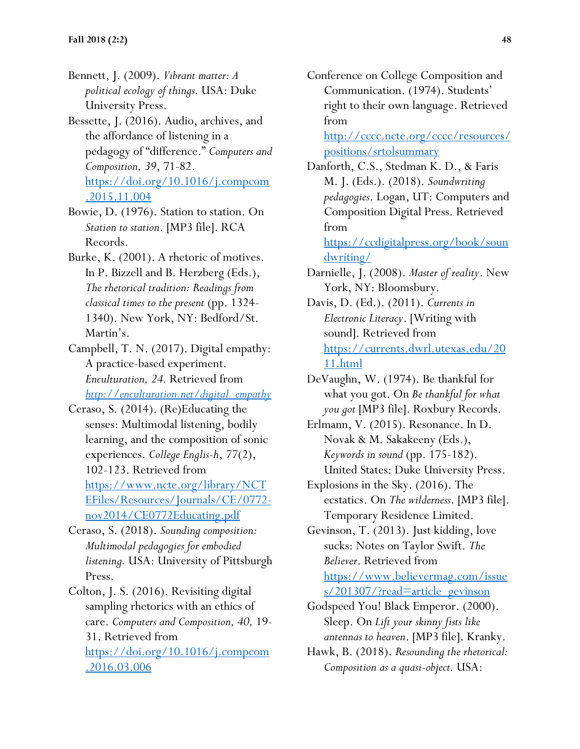- Bennett, J. (2009). *Vibrant matter: A political ecology of things.* USA: Duke University Press.
- Bessette, J. (2016). Audio, archives, and the affordance of listening in a pedagogy of "difference." *Computers and Composition, 39*, 71-82. [https://doi.org/10.1016/j.compcom](https://doi.org/10.1016/j.compcom.2015.11.004) [.2015.11.004](https://doi.org/10.1016/j.compcom.2015.11.004)
- Bowie, D. (1976). Station to station. On *Station to station*. [MP3 file]. RCA Records.
- Burke, K. (2001). A rhetoric of motives. In P. Bizzell and B. Herzberg (Eds.), *The rhetorical tradition: Readings from classical times to the present* (pp. 1324- 1340). New York, NY: Bedford/St. Martin's.
- Campbell, T. N. (2017). Digital empathy: A practice-based experiment. *Enculturation, 24.* Retrieved from *[http://enculturation.net/digital\\_empathy](http://enculturation.net/digital_empathy)*
- Ceraso, S. (2014). (Re)Educating the senses: Multimodal listening, bodily learning, and the composition of sonic experiences. *College Englis-h*, *77*(2), 102-123. Retrieved from [https://www.ncte.org/library/NCT](https://www.ncte.org/library/NCTEFiles/Resources/Journals/CE/0772-nov2014/CE0772Educating.pdf) [EFiles/Resources/Journals/CE/0772](https://www.ncte.org/library/NCTEFiles/Resources/Journals/CE/0772-nov2014/CE0772Educating.pdf) [nov2014/CE0772Educating.pdf](https://www.ncte.org/library/NCTEFiles/Resources/Journals/CE/0772-nov2014/CE0772Educating.pdf)
- Ceraso, S. (2018). *Sounding composition: Multimodal pedagogies for embodied listening.* USA: University of Pittsburgh Press.
- Colton, J. S. (2016). Revisiting digital sampling rhetorics with an ethics of care. *Computers and Composition, 40,* 19- 31. Retrieved from [https://doi.org/10.1016/j.compcom](https://doi.org/10.1016/j.compcom.2016.03.006) [.2016.03.006](https://doi.org/10.1016/j.compcom.2016.03.006)

Conference on College Composition and Communication. (1974). Students' right to their own language. Retrieved from

[http://cccc.ncte.org/cccc/resources/](http://cccc.ncte.org/cccc/resources/positions/srtolsummary) [positions/srtolsummary](http://cccc.ncte.org/cccc/resources/positions/srtolsummary)

Danforth, C.S., Stedman K. D., & Faris M. J. (Eds.). (2018). *Soundwriting pedagogies*. Logan, UT: Computers and Composition Digital Press. Retrieved from [https://ccdigitalpress.org/book/soun](https://ccdigitalpress.org/book/soundwriting/)

[dwriting/](https://ccdigitalpress.org/book/soundwriting/)

- Darnielle, J. (2008). *Master of reality*. New York, NY: Bloomsbury.
- Davis, D. (Ed.). (2011). *Currents in Electronic Literacy*. [Writing with sound]. Retrieved from [https://currents.dwrl.utexas.edu/20](https://currents.dwrl.utexas.edu/2011.html) [11.html](https://currents.dwrl.utexas.edu/2011.html)
- DeVaughn, W. (1974). Be thankful for what you got. On *Be thankful for what you got* [MP3 file]. Roxbury Records.
- Erlmann, V. (2015). Resonance. In D. Novak & M. Sakakeeny (Eds.), *Keywords in sound* (pp. 175-182). United States: Duke University Press.
- Explosions in the Sky. (2016). The ecstatics. On *The wilderness*. [MP3 file]. Temporary Residence Limited.
- Gevinson, T. (2013). Just kidding, love sucks: Notes on Taylor Swift. *The Believer*. Retrieved from [https://www.believermag.com/issue](https://www.believermag.com/issues/201307/?read=article_gevinson) [s/201307/?read=article\\_gevinson](https://www.believermag.com/issues/201307/?read=article_gevinson)
- Godspeed You! Black Emperor. (2000). Sleep. On *Lift your skinny fists like antennas to heaven*. [MP3 file]. Kranky.
- Hawk, B. (2018). *Resounding the rhetorical: Composition as a quasi-object.* USA: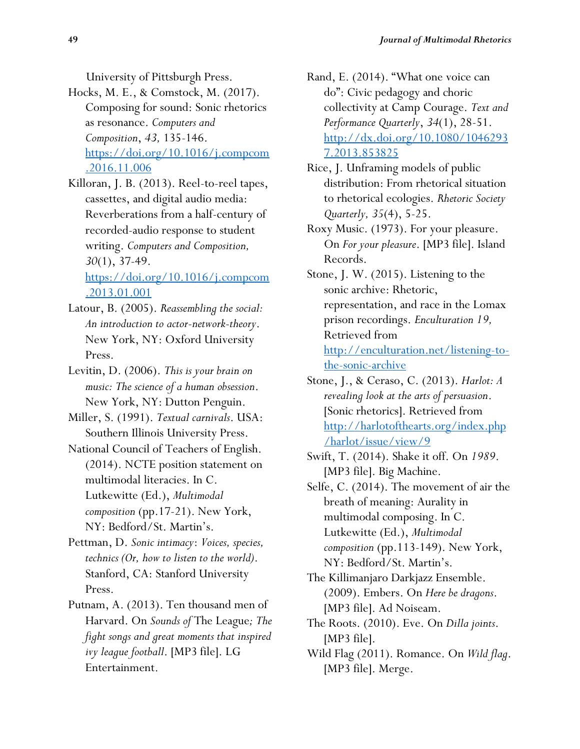University of Pittsburgh Press.

- Hocks, M. E., & Comstock, M. (2017). Composing for sound: Sonic rhetorics as resonance. *Computers and Composition*, *43,* 135-146. [https://doi.org/10.1016/j.compcom](https://doi.org/10.1016/j.compcom.2016.11.006) [.2016.11.006](https://doi.org/10.1016/j.compcom.2016.11.006)
- Killoran, J. B. (2013). Reel-to-reel tapes, cassettes, and digital audio media: Reverberations from a half-century of recorded-audio response to student writing. *Computers and Composition, 30*(1), 37-49. [https://doi.org/10.1016/j.compcom](https://doi.org/10.1016/j.compcom.2013.01.001)

[.2013.01.001](https://doi.org/10.1016/j.compcom.2013.01.001)

- Latour, B. (2005). *Reassembling the social: An introduction to actor-network-theory*. New York, NY: Oxford University Press.
- Levitin, D. (2006). *This is your brain on music: The science of a human obsession*. New York, NY: Dutton Penguin.
- Miller, S. (1991). *Textual carnivals*. USA: Southern Illinois University Press.
- National Council of Teachers of English. (2014). NCTE position statement on multimodal literacies. In C. Lutkewitte (Ed.), *Multimodal composition* (pp.17-21). New York, NY: Bedford/St. Martin's.
- Pettman, D. *Sonic intimacy*: *Voices, species, technics (Or, how to listen to the world)*. Stanford, CA: Stanford University Press.
- Putnam, A. (2013). Ten thousand men of Harvard. On *Sounds of* The League*; The fight songs and great moments that inspired ivy league football*. [MP3 file]. LG Entertainment.
- Rand, E. (2014). "What one voice can do": Civic pedagogy and choric collectivity at Camp Courage. *Text and Performance Quarterly*, *34*(1), 28-51. [http://dx.doi.org/10.1080/1046293](http://dx.doi.org/10.1080/10462937.2013.853825) [7.2013.853825](http://dx.doi.org/10.1080/10462937.2013.853825)
- Rice, J. Unframing models of public distribution: From rhetorical situation to rhetorical ecologies. *Rhetoric Society Quarterly, 35*(4), 5-25.
- Roxy Music. (1973). For your pleasure. On *For your pleasure*. [MP3 file]. Island Records.
- Stone, J. W. (2015). Listening to the sonic archive: Rhetoric, representation, and race in the Lomax prison recordings. *Enculturation 19,* Retrieved from [http://enculturation.net/listening-to](http://enculturation.net/listening-to-the-sonic-archive)[the-sonic-archive](http://enculturation.net/listening-to-the-sonic-archive)
- Stone, J., & Ceraso, C. (2013). *Harlot: A revealing look at the arts of persuasion*. [Sonic rhetorics]. Retrieved from [http://harlotofthearts.org/index.php](http://harlotofthearts.org/index.php/harlot/issue/view/9) [/harlot/issue/view/9](http://harlotofthearts.org/index.php/harlot/issue/view/9)
- Swift, T. (2014). Shake it off. On *1989*. [MP3 file]. Big Machine.
- Selfe, C. (2014). The movement of air the breath of meaning: Aurality in multimodal composing. In C. Lutkewitte (Ed.), *Multimodal composition* (pp.113-149). New York, NY: Bedford/St. Martin's.
- The Killimanjaro Darkjazz Ensemble. (2009). Embers. On *Here be dragons*. [MP3 file]. Ad Noiseam.
- The Roots. (2010). Eve. On *Dilla joints*. [MP3 file].
- Wild Flag (2011). Romance. On *Wild flag*. [MP3 file]. Merge.